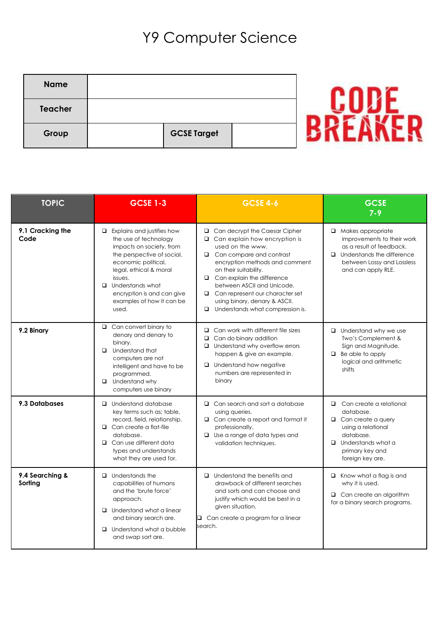## Y9 Computer Science

| <b>Name</b> |                    |  |
|-------------|--------------------|--|
| Teacher     |                    |  |
| Group       | <b>GCSE Target</b> |  |

| <b>TOPIC</b>               | <b>GCSE 1-3</b>                                                                                                                                                                                                                                                                 | <b>GCSE 4-6</b>                                                                                                                                                                                                                                                                                                                                                              | <b>GCSE</b><br>$7 - 9$                                                                                                                                                          |
|----------------------------|---------------------------------------------------------------------------------------------------------------------------------------------------------------------------------------------------------------------------------------------------------------------------------|------------------------------------------------------------------------------------------------------------------------------------------------------------------------------------------------------------------------------------------------------------------------------------------------------------------------------------------------------------------------------|---------------------------------------------------------------------------------------------------------------------------------------------------------------------------------|
| 9.1 Cracking the<br>Code   | $\Box$ Explains and justifies how<br>the use of technology<br>impacts on society, from<br>the perspective of social,<br>economic political,<br>legal, ethical & moral<br>issues.<br>$\Box$ Understands what<br>encryption is and can give<br>examples of how it can be<br>used. | □ Can decrypt the Caesar Cipher<br>$\Box$ Can explain how encryption is<br>used on the www.<br>$\Box$ Can compare and contrast<br>encryption methods and comment<br>on their suitability.<br>$\Box$ Can explain the difference<br>between ASCII and Unicode.<br>□ Can represent our character set<br>using binary, denary & ASCII.<br>Understands what compression is.<br>o. | $\Box$ Makes appropriate<br>improvements to their work<br>as a result of feedback.<br>$\Box$ Understands the difference<br>between Lossy and Lossless<br>and can apply RLE.     |
| 9.2 Binary                 | $\Box$ Can convert binary to<br>denary and denary to<br>binary.<br>$\Box$ Understand that<br>computers are not<br>intelligent and have to be<br>programmed.<br>$\Box$ Understand why<br>computers use binary                                                                    | $\Box$ Can work with different file sizes<br>$\Box$ Can do binary addition<br>$\Box$ Understand why overflow errors<br>happen & give an example.<br>$\Box$ Understand how negative<br>numbers are represented in<br>binary                                                                                                                                                   | $\Box$ Understand why we use<br>Two's Complement &<br>Sign and Magnitude.<br>$\Box$ Be able to apply<br>logical and arithmetic<br>shifts                                        |
| 9.3 Databases              | $\Box$ Understand database<br>key terms such as; table,<br>record, field, relationship.<br>$\Box$ Can create a flat-file<br>database.<br>$\Box$ Can use different data<br>types and understands<br>what they are used for.                                                      | $\Box$ Can search and sort a database<br>using queries.<br>$\Box$ Can create a report and format it<br>professionally.<br>$\Box$ Use a range of data types and<br>validation techniques.                                                                                                                                                                                     | $\Box$ Can create a relational<br>database.<br>$\Box$ Can create a query<br>using a relational<br>database.<br>$\Box$ Understands what a<br>primary key and<br>foreign key are. |
| 9.4 Searching &<br>Sorting | $\Box$ Understands the<br>capabilities of humans<br>and the 'brute force'<br>approach.<br>$\Box$ Understand what a linear<br>and binary search are.<br>$\Box$ Understand what a bubble<br>and swap sort are.                                                                    | $\Box$ Understand the benefits and<br>drawback of different searches<br>and sorts and can choose and<br>justify which would be best in a<br>given situation.<br>$\Box$ Can create a program for a linear<br>search.                                                                                                                                                          | $\Box$ Know what a flag is and<br>why it is used.<br>$\Box$ Can create an algorithm<br>for a binary search programs.                                                            |